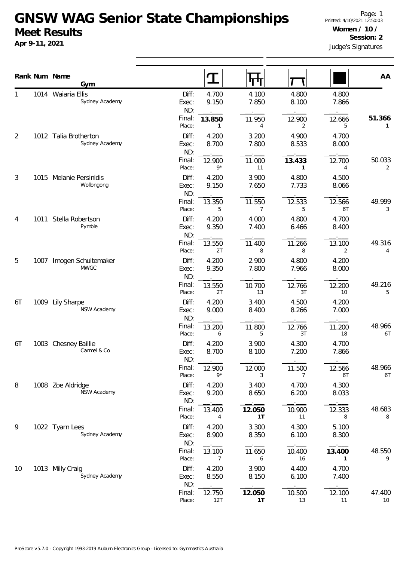## **GNSW WAG Senior State Championships Meet Results**

**Apr 9-11, 2021**

|                |      | Rank Num Name<br>Gym                    |                           |                | 4 H                      |                       |                           | AA           |
|----------------|------|-----------------------------------------|---------------------------|----------------|--------------------------|-----------------------|---------------------------|--------------|
|                |      | 1014 Waiaria Ellis<br>Sydney Academy    | Diff:<br>Exec:<br>ND:     | 4.700<br>9.150 | 4.100<br>7.850           | 4.800<br>8.100        | 4.800<br>7.866            |              |
|                |      |                                         | Final:<br>Place:          | 13.850<br>1    | 11.950<br>4              | 12.900<br>2           | 12.666<br>5               | 51.366<br>1  |
| $\overline{2}$ |      | 1012 Talia Brotherton<br>Sydney Academy | Diff:<br>Exec:<br>ND:     | 4.200<br>8.700 | 3.200<br>7.800           | 4.900<br>8.533        | 4.700<br>8.000            |              |
|                |      |                                         | Final:<br>Place:          | 12.900<br>$9*$ | 11.000<br>11             | 13.433<br>1           | 12.700<br>4               | 50.033<br>2  |
| 3              | 1015 | Melanie Persinidis<br>Wollongong        | Diff:<br>Exec:<br>ND:     | 4.200<br>9.150 | 3.900<br>7.650           | 4.800<br>7.733        | 4.500<br>8.066            |              |
|                |      |                                         | Final:<br>Place:          | 13.350<br>5    | 11.550<br>$\overline{7}$ | 12.533<br>5           | 12.566<br>6T              | 49.999<br>3  |
| 4<br>5         | 1011 | Stella Robertson<br>Pymble              | Diff:<br>Exec:<br>ND:     | 4.200<br>9.350 | 4.000<br>7.400           | 4.800<br>6.466        | 4.700<br>8.400            |              |
|                |      |                                         | Final:<br>Place:          | 13.550<br>2T   | 11.400<br>8              | 11.266<br>8           | 13.100<br>2               | 49.316<br>4  |
|                | 1007 | Imogen Schuitemaker<br><b>MWGC</b>      | Diff:<br>Exec:<br>ND:     | 4.200<br>9.350 | 2.900<br>7.800           | 4.800<br>7.966        | 4.200<br>8.000            |              |
|                |      |                                         | Final:<br>Place:          | 13.550<br>2T   | 10.700<br>13             | 12.766<br>3T          | 12.200<br>10 <sup>°</sup> | 49.216<br>5  |
| 6T             | 1009 | <b>Lily Sharpe</b><br>NSW Academy       | Diff:<br>Exec:<br>ND:     | 4.200<br>9.000 | 3.400<br>8.400           | 4.500<br>8.266        | 4.200<br>7.000            |              |
|                |      |                                         | Final:<br>Place:          | 13.200<br>6    | 11.800<br>5              | 12.766<br>3T          | 11.200<br>18              | 48.966<br>6T |
| 6T             |      | 1003 Chesney Baillie<br>Carmel & Co     | Diff:<br>Exec:<br>ND:     | 4.200<br>8.700 | 3.900<br>8.100           | 4.300<br>7.200        | 4.700<br>7.866            |              |
|                |      |                                         | Final:<br>Place:          | 12.900<br>9*   | 12.000<br>3              | 11.500<br>7           | 12.566<br>6T              | 48.966<br>6T |
| 8              |      | 1008 Zoe Aldridge<br>NSW Academy        | Diff:<br>Exec:<br>ND:     | 4.200<br>9.200 | 3.400<br>8.650           | 4.700<br>6.200        | 4.300<br>8.033            |              |
|                |      |                                         | Final:<br>Place:          | 13.400<br>4    | 12.050<br>1T             | 10.900<br>11          | 12.333<br>8               | 48.683<br>8  |
| 9              |      | 1022 Tyarn Lees<br>Sydney Academy       | Diff:<br>Exec:<br>ND:     | 4.200<br>8.900 | 3.300<br>8.350           | 4.300<br>6.100        | 5.100<br>8.300            |              |
|                |      |                                         | Final:<br>Place:<br>Diff: | 13.100<br>7    | 11.650<br>6              | 10.400<br>16<br>4.400 | 13.400<br>1               | 48.550<br>9  |
| 10             |      | 1013 Milly Craig<br>Sydney Academy      | Exec:<br>ND:              | 4.200<br>8.550 | 3.900<br>8.150           | 6.100                 | 4.700<br>7.400            |              |
|                |      |                                         | Final:<br>Place:          | 12.750<br>12T  | 12.050<br>1T             | 10.500<br>13          | 12.100<br>11              | 47.400<br>10 |